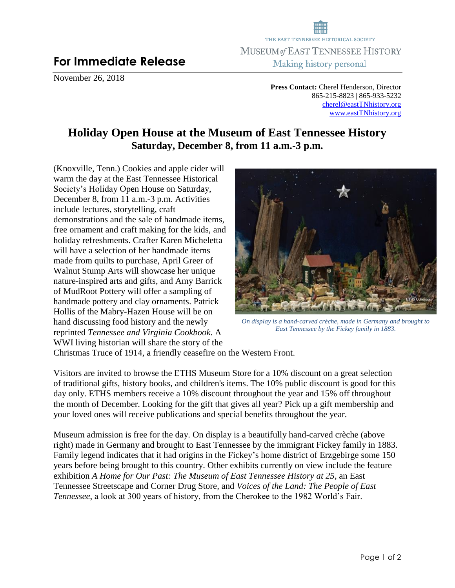## **For Immediate Release**

November 26, 2018

THE EAST TENNESSEE HISTORICAL SOCIETY MUSEUM of EAST TENNESSEE HISTORY Making history personal

> **Press Contact:** Cherel Henderson, Director 865-215-8823 | 865-933-5232 [cherel@eastTNhistory.org](mailto:cherel@eastTNhistory.org) [www.eastTNhistory.org](http://www.easttnhistory.org/)

## **Holiday Open House at the Museum of East Tennessee History Saturday, December 8, from 11 a.m.-3 p.m.**

(Knoxville, Tenn.) Cookies and apple cider will warm the day at the East Tennessee Historical Society's Holiday Open House on Saturday, December 8, from 11 a.m.-3 p.m. Activities include lectures, storytelling, craft demonstrations and the sale of handmade items, free ornament and craft making for the kids, and holiday refreshments. Crafter Karen Micheletta will have a selection of her handmade items made from quilts to purchase, April Greer of Walnut Stump Arts will showcase her unique nature-inspired arts and gifts, and Amy Barrick of MudRoot Pottery will offer a sampling of handmade pottery and clay ornaments. Patrick Hollis of the Mabry-Hazen House will be on hand discussing food history and the newly reprinted *Tennessee and Virginia Cookbook*. A WWI living historian will share the story of the



*On display is a hand-carved crèche, made in Germany and brought to East Tennessee by the Fickey family in 1883.*

Christmas Truce of 1914, a friendly ceasefire on the Western Front.

Visitors are invited to browse the ETHS Museum Store for a 10% discount on a great selection of traditional gifts, history books, and children's items. The 10% public discount is good for this day only. ETHS members receive a 10% discount throughout the year and 15% off throughout the month of December. Looking for the gift that gives all year? Pick up a gift membership and your loved ones will receive publications and special benefits throughout the year.

Museum admission is free for the day. On display is a beautifully hand-carved crèche (above right) made in Germany and brought to East Tennessee by the immigrant Fickey family in 1883. Family legend indicates that it had origins in the Fickey's home district of Erzgebirge some 150 years before being brought to this country. Other exhibits currently on view include the feature exhibition *A Home for Our Past: The Museum of East Tennessee History at 25*, an East Tennessee Streetscape and Corner Drug Store*,* and *Voices of the Land: The People of East Tennessee*, a look at 300 years of history, from the Cherokee to the 1982 World's Fair.